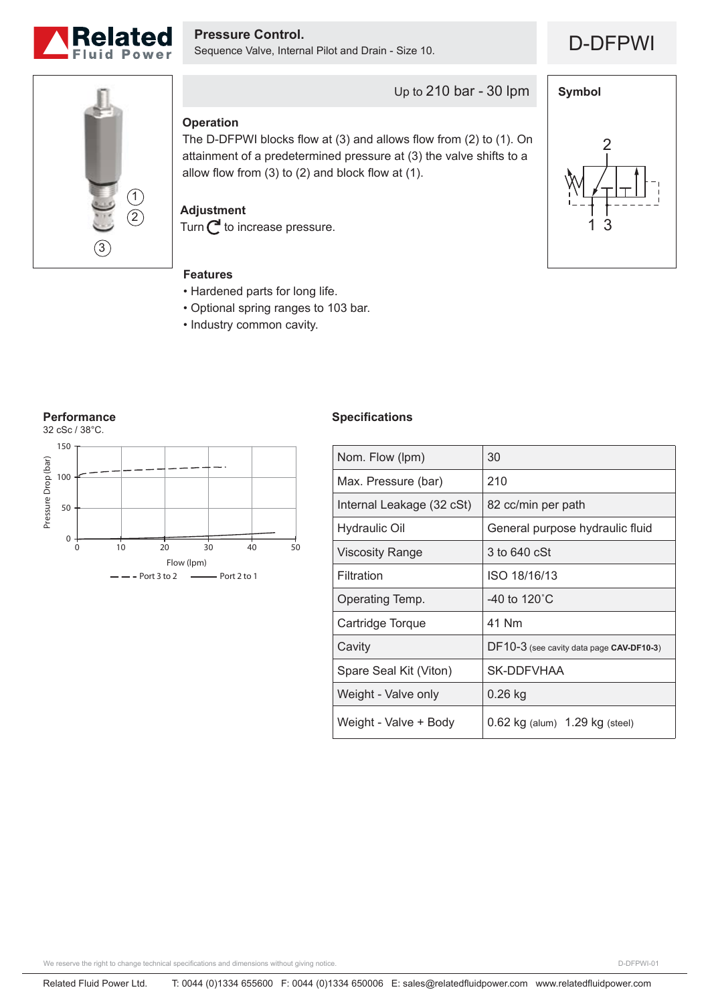

D-DFPWI **Pressure Control.** Sequence Valve, Internal Pilot and Drain - Size 10.

1 3

2

**Symbol**



## **Operation**

The D-DFPWI blocks flow at (3) and allows flow from (2) to (1). On attainment of a predetermined pressure at (3) the valve shifts to a allow flow from  $(3)$  to  $(2)$  and block flow at  $(1)$ .

Up to 210 bar - 30 lpm

### **Adjustment**

Turn  $C$  to increase pressure.

#### **Features**

- Hardened parts for long life.
- Optional spring ranges to 103 bar.
- Industry common cavity.



#### **Specifications**

| Nom. Flow (lpm)           | 30                                       |
|---------------------------|------------------------------------------|
| Max. Pressure (bar)       | 210                                      |
| Internal Leakage (32 cSt) | 82 cc/min per path                       |
| <b>Hydraulic Oil</b>      | General purpose hydraulic fluid          |
| <b>Viscosity Range</b>    | 3 to 640 cSt                             |
| Filtration                | ISO 18/16/13                             |
| Operating Temp.           | -40 to 120 $^{\circ}$ C                  |
| Cartridge Torque          | 41 Nm                                    |
| Cavity                    | DF10-3 (see cavity data page CAV-DF10-3) |
| Spare Seal Kit (Viton)    | SK-DDFVHAA                               |
| Weight - Valve only       | 0.26 kg                                  |
| Weight - Valve + Body     | $0.62$ kg (alum) $1.29$ kg (steel)       |